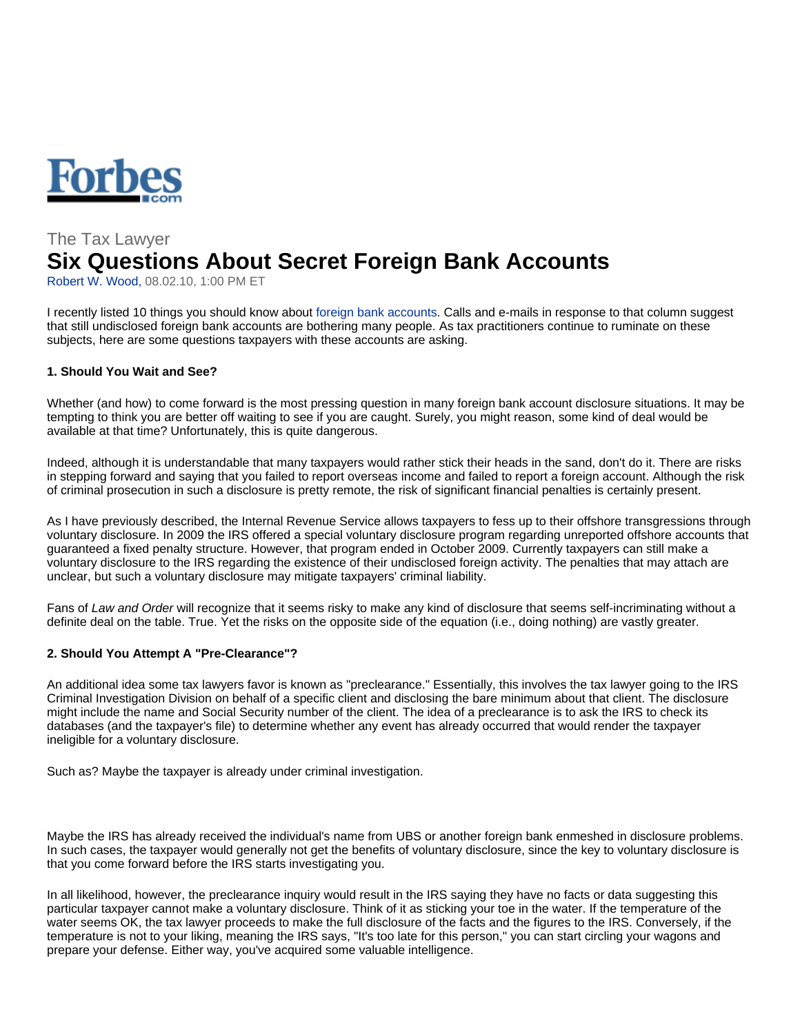

# The Tax Lawyer **Six Questions About Secret Foreign Bank Accounts**

Robert W. Wood, 08.02.10, 1:00 PM ET

I recently listed 10 things you should know about foreign bank accounts. Calls and e-mails in response to that column suggest that still undisclosed foreign bank accounts are bothering many people. As tax practitioners continue to ruminate on these subjects, here are some questions taxpayers with these accounts are asking.

# **1. Should You Wait and See?**

Whether (and how) to come forward is the most pressing question in many foreign bank account disclosure situations. It may be tempting to think you are better off waiting to see if you are caught. Surely, you might reason, some kind of deal would be available at that time? Unfortunately, this is quite dangerous.

Indeed, although it is understandable that many taxpayers would rather stick their heads in the sand, don't do it. There are risks in stepping forward and saying that you failed to report overseas income and failed to report a foreign account. Although the risk of criminal prosecution in such a disclosure is pretty remote, the risk of significant financial penalties is certainly present.

As I have previously described, the Internal Revenue Service allows taxpayers to fess up to their offshore transgressions through voluntary disclosure. In 2009 the IRS offered a special voluntary disclosure program regarding unreported offshore accounts that guaranteed a fixed penalty structure. However, that program ended in October 2009. Currently taxpayers can still make a voluntary disclosure to the IRS regarding the existence of their undisclosed foreign activity. The penalties that may attach are unclear, but such a voluntary disclosure may mitigate taxpayers' criminal liability.

Fans of *Law and Order* will recognize that it seems risky to make any kind of disclosure that seems self-incriminating without a definite deal on the table. True. Yet the risks on the opposite side of the equation (i.e., doing nothing) are vastly greater.

#### **2. Should You Attempt A "Pre-Clearance"?**

An additional idea some tax lawyers favor is known as "preclearance." Essentially, this involves the tax lawyer going to the IRS Criminal Investigation Division on behalf of a specific client and disclosing the bare minimum about that client. The disclosure might include the name and Social Security number of the client. The idea of a preclearance is to ask the IRS to check its databases (and the taxpayer's file) to determine whether any event has already occurred that would render the taxpayer ineligible for a voluntary disclosure.

Such as? Maybe the taxpayer is already under criminal investigation.

Maybe the IRS has already received the individual's name from UBS or another foreign bank enmeshed in disclosure problems. In such cases, the taxpayer would generally not get the benefits of voluntary disclosure, since the key to voluntary disclosure is that you come forward before the IRS starts investigating you.

In all likelihood, however, the preclearance inquiry would result in the IRS saying they have no facts or data suggesting this particular taxpayer cannot make a voluntary disclosure. Think of it as sticking your toe in the water. If the temperature of the water seems OK, the tax lawyer proceeds to make the full disclosure of the facts and the figures to the IRS. Conversely, if the temperature is not to your liking, meaning the IRS says, "It's too late for this person," you can start circling your wagons and prepare your defense. Either way, you've acquired some valuable intelligence.